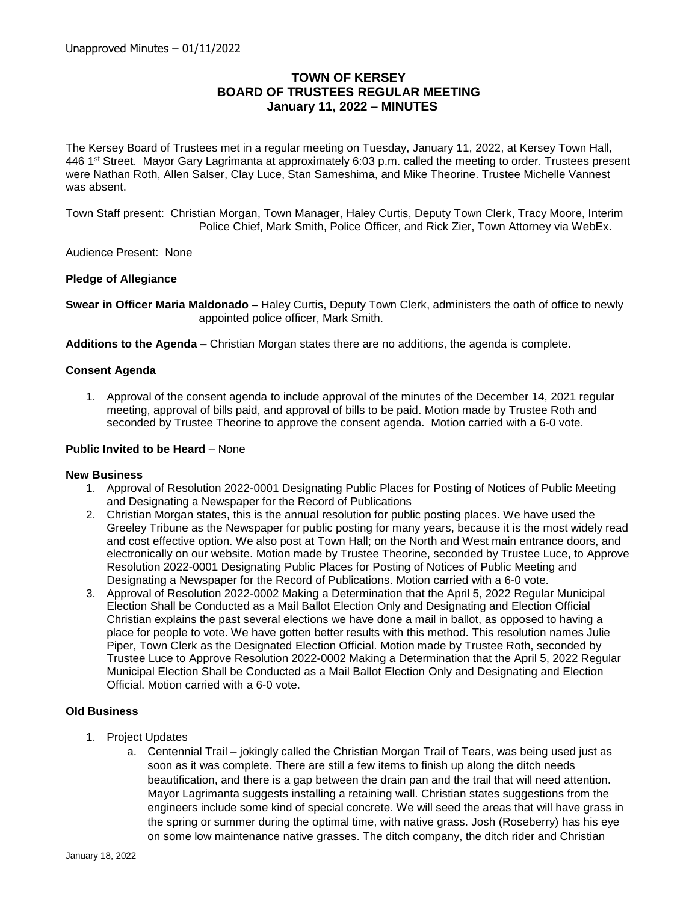# **TOWN OF KERSEY BOARD OF TRUSTEES REGULAR MEETING January 11, 2022 – MINUTES**

The Kersey Board of Trustees met in a regular meeting on Tuesday, January 11, 2022, at Kersey Town Hall, 446 1st Street. Mayor Gary Lagrimanta at approximately 6:03 p.m. called the meeting to order. Trustees present were Nathan Roth, Allen Salser, Clay Luce, Stan Sameshima, and Mike Theorine. Trustee Michelle Vannest was absent.

Town Staff present: Christian Morgan, Town Manager, Haley Curtis, Deputy Town Clerk, Tracy Moore, Interim Police Chief, Mark Smith, Police Officer, and Rick Zier, Town Attorney via WebEx.

Audience Present: None

### **Pledge of Allegiance**

**Swear in Officer Maria Maldonado –** Haley Curtis, Deputy Town Clerk, administers the oath of office to newly appointed police officer, Mark Smith.

**Additions to the Agenda –** Christian Morgan states there are no additions, the agenda is complete.

#### **Consent Agenda**

1. Approval of the consent agenda to include approval of the minutes of the December 14, 2021 regular meeting, approval of bills paid, and approval of bills to be paid. Motion made by Trustee Roth and seconded by Trustee Theorine to approve the consent agenda. Motion carried with a 6-0 vote.

#### **Public Invited to be Heard** – None

#### **New Business**

- 1. Approval of Resolution 2022-0001 Designating Public Places for Posting of Notices of Public Meeting and Designating a Newspaper for the Record of Publications
- 2. Christian Morgan states, this is the annual resolution for public posting places. We have used the Greeley Tribune as the Newspaper for public posting for many years, because it is the most widely read and cost effective option. We also post at Town Hall; on the North and West main entrance doors, and electronically on our website. Motion made by Trustee Theorine, seconded by Trustee Luce, to Approve Resolution 2022-0001 Designating Public Places for Posting of Notices of Public Meeting and Designating a Newspaper for the Record of Publications. Motion carried with a 6-0 vote.
- 3. Approval of Resolution 2022-0002 Making a Determination that the April 5, 2022 Regular Municipal Election Shall be Conducted as a Mail Ballot Election Only and Designating and Election Official Christian explains the past several elections we have done a mail in ballot, as opposed to having a place for people to vote. We have gotten better results with this method. This resolution names Julie Piper, Town Clerk as the Designated Election Official. Motion made by Trustee Roth, seconded by Trustee Luce to Approve Resolution 2022-0002 Making a Determination that the April 5, 2022 Regular Municipal Election Shall be Conducted as a Mail Ballot Election Only and Designating and Election Official. Motion carried with a 6-0 vote.

### **Old Business**

- 1. Project Updates
	- a. Centennial Trail jokingly called the Christian Morgan Trail of Tears, was being used just as soon as it was complete. There are still a few items to finish up along the ditch needs beautification, and there is a gap between the drain pan and the trail that will need attention. Mayor Lagrimanta suggests installing a retaining wall. Christian states suggestions from the engineers include some kind of special concrete. We will seed the areas that will have grass in the spring or summer during the optimal time, with native grass. Josh (Roseberry) has his eye on some low maintenance native grasses. The ditch company, the ditch rider and Christian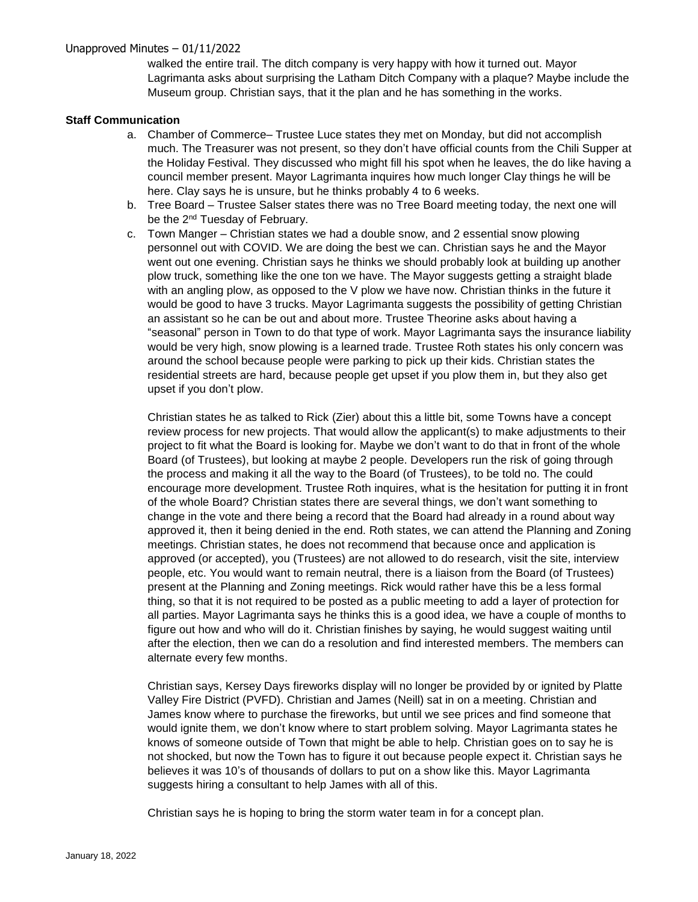## Unapproved Minutes – 01/11/2022

walked the entire trail. The ditch company is very happy with how it turned out. Mayor Lagrimanta asks about surprising the Latham Ditch Company with a plaque? Maybe include the Museum group. Christian says, that it the plan and he has something in the works.

### **Staff Communication**

- a. Chamber of Commerce– Trustee Luce states they met on Monday, but did not accomplish much. The Treasurer was not present, so they don't have official counts from the Chili Supper at the Holiday Festival. They discussed who might fill his spot when he leaves, the do like having a council member present. Mayor Lagrimanta inquires how much longer Clay things he will be here. Clay says he is unsure, but he thinks probably 4 to 6 weeks.
- b. Tree Board Trustee Salser states there was no Tree Board meeting today, the next one will be the 2<sup>nd</sup> Tuesday of February.
- c. Town Manger Christian states we had a double snow, and 2 essential snow plowing personnel out with COVID. We are doing the best we can. Christian says he and the Mayor went out one evening. Christian says he thinks we should probably look at building up another plow truck, something like the one ton we have. The Mayor suggests getting a straight blade with an angling plow, as opposed to the V plow we have now. Christian thinks in the future it would be good to have 3 trucks. Mayor Lagrimanta suggests the possibility of getting Christian an assistant so he can be out and about more. Trustee Theorine asks about having a "seasonal" person in Town to do that type of work. Mayor Lagrimanta says the insurance liability would be very high, snow plowing is a learned trade. Trustee Roth states his only concern was around the school because people were parking to pick up their kids. Christian states the residential streets are hard, because people get upset if you plow them in, but they also get upset if you don't plow.

Christian states he as talked to Rick (Zier) about this a little bit, some Towns have a concept review process for new projects. That would allow the applicant(s) to make adjustments to their project to fit what the Board is looking for. Maybe we don't want to do that in front of the whole Board (of Trustees), but looking at maybe 2 people. Developers run the risk of going through the process and making it all the way to the Board (of Trustees), to be told no. The could encourage more development. Trustee Roth inquires, what is the hesitation for putting it in front of the whole Board? Christian states there are several things, we don't want something to change in the vote and there being a record that the Board had already in a round about way approved it, then it being denied in the end. Roth states, we can attend the Planning and Zoning meetings. Christian states, he does not recommend that because once and application is approved (or accepted), you (Trustees) are not allowed to do research, visit the site, interview people, etc. You would want to remain neutral, there is a liaison from the Board (of Trustees) present at the Planning and Zoning meetings. Rick would rather have this be a less formal thing, so that it is not required to be posted as a public meeting to add a layer of protection for all parties. Mayor Lagrimanta says he thinks this is a good idea, we have a couple of months to figure out how and who will do it. Christian finishes by saying, he would suggest waiting until after the election, then we can do a resolution and find interested members. The members can alternate every few months.

Christian says, Kersey Days fireworks display will no longer be provided by or ignited by Platte Valley Fire District (PVFD). Christian and James (Neill) sat in on a meeting. Christian and James know where to purchase the fireworks, but until we see prices and find someone that would ignite them, we don't know where to start problem solving. Mayor Lagrimanta states he knows of someone outside of Town that might be able to help. Christian goes on to say he is not shocked, but now the Town has to figure it out because people expect it. Christian says he believes it was 10's of thousands of dollars to put on a show like this. Mayor Lagrimanta suggests hiring a consultant to help James with all of this.

Christian says he is hoping to bring the storm water team in for a concept plan.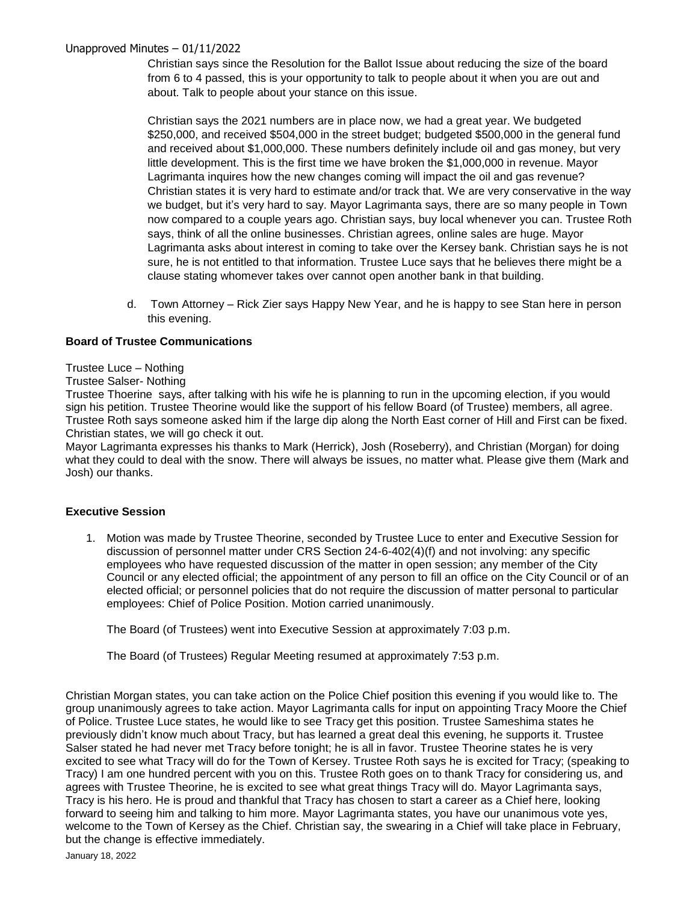## Unapproved Minutes – 01/11/2022

Christian says since the Resolution for the Ballot Issue about reducing the size of the board from 6 to 4 passed, this is your opportunity to talk to people about it when you are out and about. Talk to people about your stance on this issue.

Christian says the 2021 numbers are in place now, we had a great year. We budgeted \$250,000, and received \$504,000 in the street budget; budgeted \$500,000 in the general fund and received about \$1,000,000. These numbers definitely include oil and gas money, but very little development. This is the first time we have broken the \$1,000,000 in revenue. Mayor Lagrimanta inquires how the new changes coming will impact the oil and gas revenue? Christian states it is very hard to estimate and/or track that. We are very conservative in the way we budget, but it's very hard to say. Mayor Lagrimanta says, there are so many people in Town now compared to a couple years ago. Christian says, buy local whenever you can. Trustee Roth says, think of all the online businesses. Christian agrees, online sales are huge. Mayor Lagrimanta asks about interest in coming to take over the Kersey bank. Christian says he is not sure, he is not entitled to that information. Trustee Luce says that he believes there might be a clause stating whomever takes over cannot open another bank in that building.

d. Town Attorney – Rick Zier says Happy New Year, and he is happy to see Stan here in person this evening.

## **Board of Trustee Communications**

#### Trustee Luce – Nothing

#### Trustee Salser- Nothing

Trustee Thoerine says, after talking with his wife he is planning to run in the upcoming election, if you would sign his petition. Trustee Theorine would like the support of his fellow Board (of Trustee) members, all agree. Trustee Roth says someone asked him if the large dip along the North East corner of Hill and First can be fixed. Christian states, we will go check it out.

Mayor Lagrimanta expresses his thanks to Mark (Herrick), Josh (Roseberry), and Christian (Morgan) for doing what they could to deal with the snow. There will always be issues, no matter what. Please give them (Mark and Josh) our thanks.

### **Executive Session**

1. Motion was made by Trustee Theorine, seconded by Trustee Luce to enter and Executive Session for discussion of personnel matter under CRS Section 24-6-402(4)(f) and not involving: any specific employees who have requested discussion of the matter in open session; any member of the City Council or any elected official; the appointment of any person to fill an office on the City Council or of an elected official; or personnel policies that do not require the discussion of matter personal to particular employees: Chief of Police Position. Motion carried unanimously.

The Board (of Trustees) went into Executive Session at approximately 7:03 p.m.

The Board (of Trustees) Regular Meeting resumed at approximately 7:53 p.m.

Christian Morgan states, you can take action on the Police Chief position this evening if you would like to. The group unanimously agrees to take action. Mayor Lagrimanta calls for input on appointing Tracy Moore the Chief of Police. Trustee Luce states, he would like to see Tracy get this position. Trustee Sameshima states he previously didn't know much about Tracy, but has learned a great deal this evening, he supports it. Trustee Salser stated he had never met Tracy before tonight; he is all in favor. Trustee Theorine states he is very excited to see what Tracy will do for the Town of Kersey. Trustee Roth says he is excited for Tracy; (speaking to Tracy) I am one hundred percent with you on this. Trustee Roth goes on to thank Tracy for considering us, and agrees with Trustee Theorine, he is excited to see what great things Tracy will do. Mayor Lagrimanta says, Tracy is his hero. He is proud and thankful that Tracy has chosen to start a career as a Chief here, looking forward to seeing him and talking to him more. Mayor Lagrimanta states, you have our unanimous vote yes, welcome to the Town of Kersey as the Chief. Christian say, the swearing in a Chief will take place in February, but the change is effective immediately.